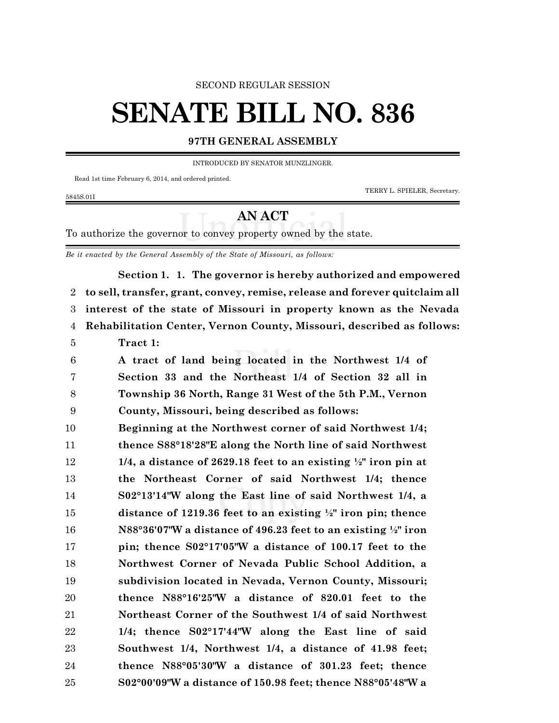#### SECOND REGULAR SESSION

# **SENATE BILL NO. 836**

## **97TH GENERAL ASSEMBLY**

INTRODUCED BY SENATOR MUNZLINGER.

Read 1st time February 6, 2014, and ordered printed.

TERRY L. SPIELER, Secretary.

5845S.01I

## **AN ACT**

To authorize the governor to convey property owned by the state.

*Be it enacted by the General Assembly of the State of Missouri, as follows:*

**Section 1. 1. The governor is hereby authorized and empowered to sell, transfer, grant, convey, remise, release and forever quitclaim all interest of the state of Missouri in property known as the Nevada Rehabilitation Center, Vernon County, Missouri, described as follows: Tract 1: A tract of land being located in the Northwest 1/4 of Section 33 and the Northeast 1/4 of Section 32 all in Township 36 North, Range 31 West of the 5th P.M., Vernon County, Missouri, being described as follows: Beginning at the Northwest corner of said Northwest 1/4; thence S88°18'28"E along the North line of said Northwest 1/4, a distance of 2629.18 feet to an existing ½" iron pin at the Northeast Corner of said Northwest 1/4; thence S02°13'14"W along the East line of said Northwest 1/4, a distance of 1219.36 feet to an existing ½" iron pin; thence N88°36'07"W a distance of 496.23 feet to an existing ½" iron pin; thence S02°17'05"W a distance of 100.17 feet to the Northwest Corner of Nevada Public School Addition, a subdivision located in Nevada, Vernon County, Missouri; thence N88°16'25"W a distance of 820.01 feet to the Northeast Corner of the Southwest 1/4 of said Northwest 1/4; thence S02°17'44"W along the East line of said Southwest 1/4, Northwest 1/4, a distance of 41.98 feet; thence N88°05'30"W a distance of 301.23 feet; thence S02°00'09"W a distance of 150.98 feet; thence N88°05'48"W a**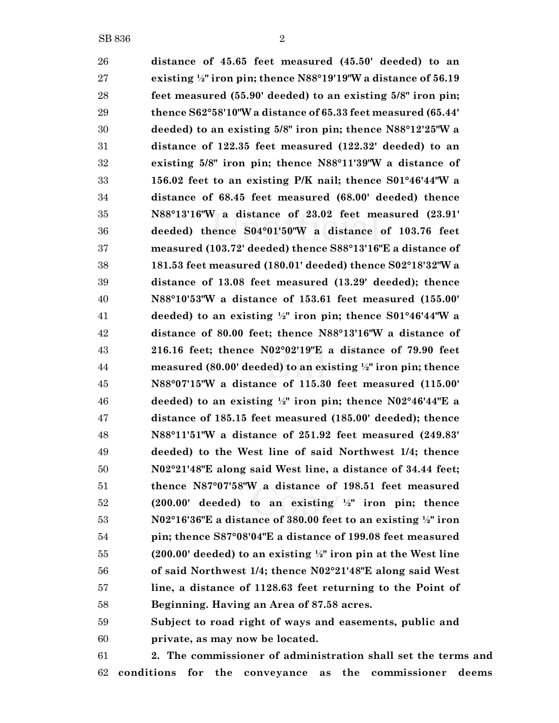**distance of 45.65 feet measured (45.50' deeded) to an existing ½" iron pin; thence N88°19'19"W a distance of 56.19 feet measured (55.90' deeded) to an existing 5/8" iron pin; thence S62°58'10"W a distance of 65.33 feet measured (65.44' deeded) to an existing 5/8" iron pin; thence N88°12'25"W a distance of 122.35 feet measured (122.32' deeded) to an existing 5/8" iron pin; thence N88°11'39"W a distance of 156.02 feet to an existing P/K nail; thence S01°46'44"W a distance of 68.45 feet measured (68.00' deeded) thence N88°13'16"W a distance of 23.02 feet measured (23.91' deeded) thence S04°01'50"W a distance of 103.76 feet measured (103.72' deeded) thence S88°13'16"E a distance of 181.53 feet measured (180.01' deeded) thence S02°18'32"W a distance of 13.08 feet measured (13.29' deeded); thence N88°10'53"W a distance of 153.61 feet measured (155.00' deeded) to an existing ½" iron pin; thence S01°46'44"W a distance of 80.00 feet; thence N88°13'16"W a distance of 216.16 feet; thence N02°02'19"E a distance of 79.90 feet measured (80.00' deeded) to an existing ½" iron pin; thence N88°07'15"W a distance of 115.30 feet measured (115.00' deeded) to an existing ½" iron pin; thence N02°46'44"E a distance of 185.15 feet measured (185.00' deeded); thence N88°11'51"W a distance of 251.92 feet measured (249.83' deeded) to the West line of said Northwest 1/4; thence N02°21'48"E along said West line, a distance of 34.44 feet; thence N87°07'58"W a distance of 198.51 feet measured (200.00' deeded) to an existing ½" iron pin; thence N02°16'36"E a distance of 380.00 feet to an existing ½" iron pin; thence S87°08'04"E a distance of 199.08 feet measured (200.00' deeded) to an existing ½" iron pin at the West line of said Northwest 1/4; thence N02°21'48"E along said West line, a distance of 1128.63 feet returning to the Point of Beginning. Having an Area of 87.58 acres. Subject to road right of ways and easements, public and**

**private, as may now be located.**

 **2. The commissioner of administration shall set the terms and conditions for the conveyance as the commissioner deems**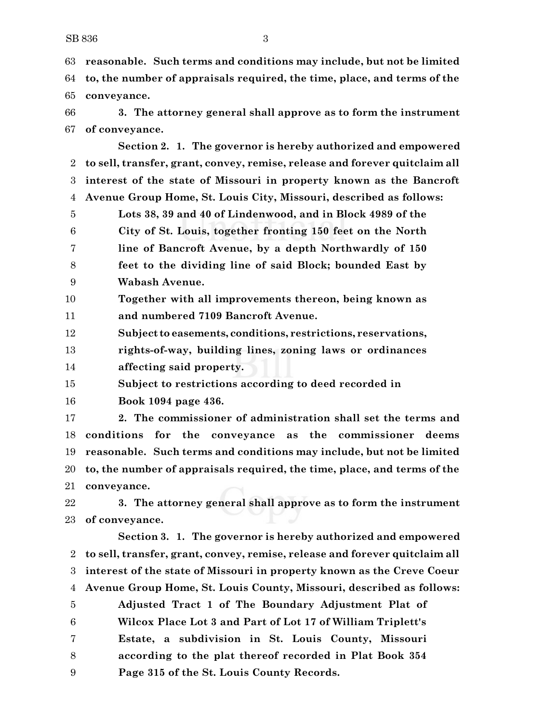**reasonable. Such terms and conditions may include, but not be limited to, the number of appraisals required, the time, place, and terms of the conveyance.**

 **3. The attorney general shall approve as to form the instrument of conveyance.**

**Section 2. 1. The governor is hereby authorized and empowered to sell, transfer, grant, convey, remise, release and forever quitclaim all interest of the state of Missouri in property known as the Bancroft Avenue Group Home, St. Louis City, Missouri, described as follows: Lots 38, 39 and 40 of Lindenwood, and in Block 4989 of the City of St. Louis, together fronting 150 feet on the North line of Bancroft Avenue, by a depth Northwardly of 150 feet to the dividing line of said Block; bounded East by Wabash Avenue.**

 **Together with all improvements thereon, being known as and numbered 7109 Bancroft Avenue.**

**Subject to easements, conditions, restrictions, reservations,**

**rights-of-way, building lines, zoning laws or ordinances**

**affecting said property.**

**Subject to restrictions according to deed recorded in** 

**Book 1094 page 436.**

 **2. The commissioner of administration shall set the terms and conditions for the conveyance as the commissioner deems reasonable. Such terms and conditions may include, but not be limited to, the number of appraisals required, the time, place, and terms of the conveyance.**

 **3. The attorney general shall approve as to form the instrument of conveyance.**

**Section 3. 1. The governor is hereby authorized and empowered to sell, transfer, grant, convey, remise, release and forever quitclaim all interest of the state of Missouri in property known as the Creve Coeur Avenue Group Home, St. Louis County, Missouri, described as follows: Adjusted Tract 1 of The Boundary Adjustment Plat of Wilcox Place Lot 3 and Part of Lot 17 of William Triplett's Estate, a subdivision in St. Louis County, Missouri according to the plat thereof recorded in Plat Book 354 Page 315 of the St. Louis County Records.**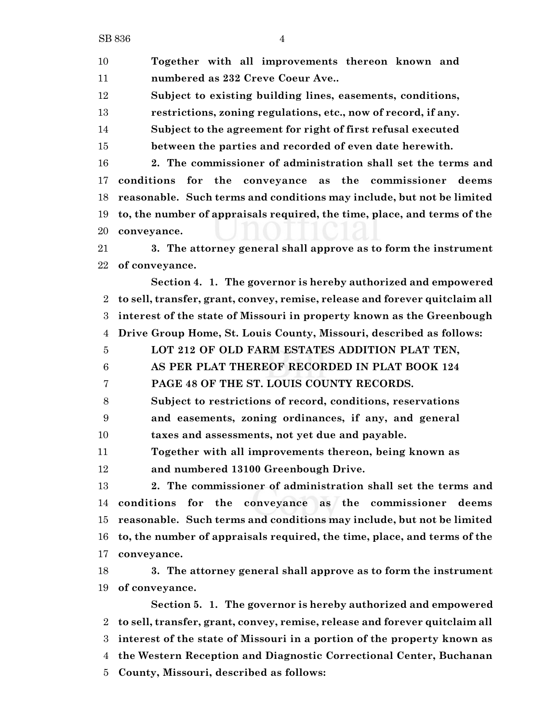SB 836 4

**Together with all improvements thereon known and**

 **numbered as 232 Creve Coeur Ave.. Subject to existing building lines, easements, conditions, restrictions, zoning regulations, etc., now of record, if any. Subject to the agreement for right of first refusal executed between the parties and recorded of even date herewith. 2. The commissioner of administration shall set the terms and conditions for the conveyance as the commissioner deems reasonable. Such terms and conditions may include, but not be limited to, the number of appraisals required, the time, place, and terms of the conveyance. 3. The attorney general shall approve as to form the instrument of conveyance. Section 4. 1. The governor is hereby authorized and empowered to sell, transfer, grant, convey, remise, release and forever quitclaim all interest of the state of Missouri in property known as the Greenbough Drive Group Home, St. Louis County, Missouri, described as follows: LOT 212 OF OLD FARM ESTATES ADDITION PLAT TEN, AS PER PLAT THEREOF RECORDED IN PLAT BOOK 124 PAGE 48 OF THE ST. LOUIS COUNTY RECORDS. Subject to restrictions of record, conditions, reservations and easements, zoning ordinances, if any, and general taxes and assessments, not yet due and payable. Together with all improvements thereon, being known as and numbered 13100 Greenbough Drive. 2. The commissioner of administration shall set the terms and conditions for the conveyance as the commissioner deems reasonable. Such terms and conditions may include, but not be limited to, the number of appraisals required, the time, place, and terms of the conveyance. 3. The attorney general shall approve as to form the instrument of conveyance. Section 5. 1. The governor is hereby authorized and empowered to sell, transfer, grant, convey, remise, release and forever quitclaim all interest of the state of Missouri in a portion of the property known as the Western Reception and Diagnostic Correctional Center, Buchanan County, Missouri, described as follows:**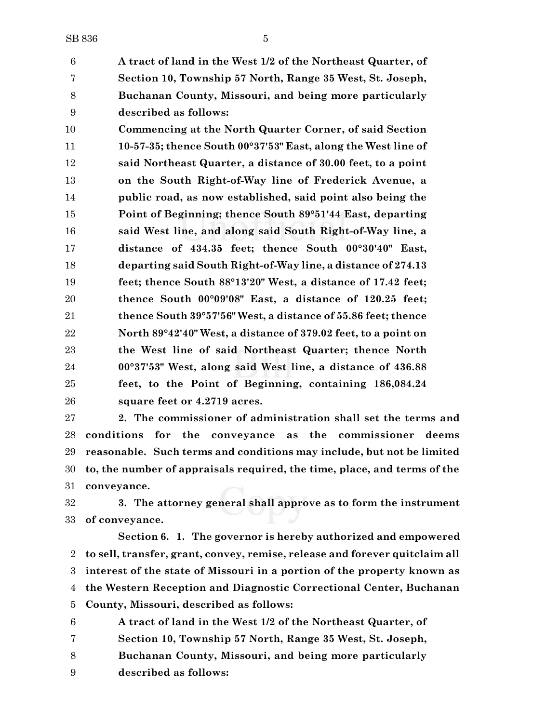**A tract of land in the West 1/2 of the Northeast Quarter, of Section 10, Township 57 North, Range 35 West, St. Joseph, Buchanan County, Missouri, and being more particularly described as follows:**

 **Commencing at the North Quarter Corner, of said Section 10-57-35; thence South 00°37'53" East, along the West line of said Northeast Quarter, a distance of 30.00 feet, to a point on the South Right-of-Way line of Frederick Avenue, a public road, as now established, said point also being the Point of Beginning; thence South 89°51'44 East, departing said West line, and along said South Right-of-Way line, a distance of 434.35 feet; thence South 00°30'40" East, departing said South Right-of-Way line, a distance of 274.13 feet; thence South 88°13'20" West, a distance of 17.42 feet; thence South 00°09'08" East, a distance of 120.25 feet; thence South 39°57'56" West, a distance of 55.86 feet; thence North 89°42'40" West, a distance of 379.02 feet, to a point on the West line of said Northeast Quarter; thence North 00°37'53" West, along said West line, a distance of 436.88 feet, to the Point of Beginning, containing 186,084.24 square feet or 4.2719 acres.**

 **2. The commissioner of administration shall set the terms and conditions for the conveyance as the commissioner deems reasonable. Such terms and conditions may include, but not be limited to, the number of appraisals required, the time, place, and terms of the conveyance.**

 **3. The attorney general shall approve as to form the instrument of conveyance.**

**Section 6. 1. The governor is hereby authorized and empowered to sell, transfer, grant, convey, remise, release and forever quitclaim all interest of the state of Missouri in a portion of the property known as the Western Reception and Diagnostic Correctional Center, Buchanan County, Missouri, described as follows:**

 **A tract of land in the West 1/2 of the Northeast Quarter, of Section 10, Township 57 North, Range 35 West, St. Joseph, Buchanan County, Missouri, and being more particularly described as follows:**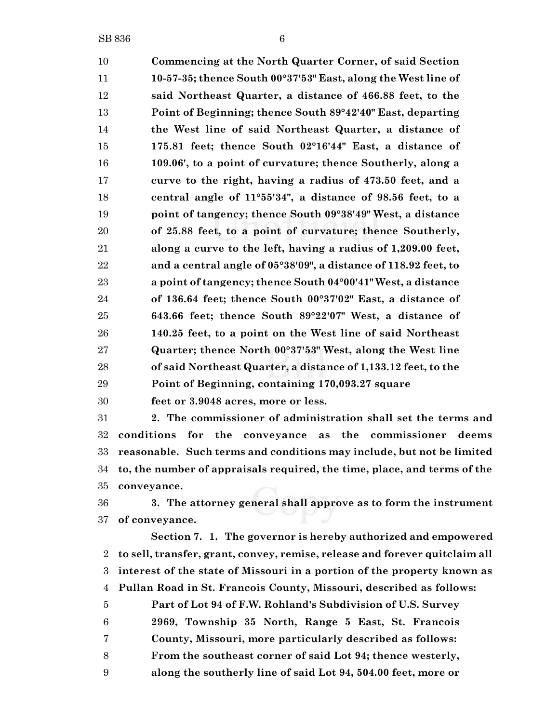**Commencing at the North Quarter Corner, of said Section 10-57-35; thence South 00°37'53" East, along the West line of said Northeast Quarter, a distance of 466.88 feet, to the Point of Beginning; thence South 89°42'40" East, departing the West line of said Northeast Quarter, a distance of 175.81 feet; thence South 02°16'44" East, a distance of 109.06', to a point of curvature; thence Southerly, along a curve to the right, having a radius of 473.50 feet, and a central angle of 11°55'34", a distance of 98.56 feet, to a point of tangency; thence South 09°38'49" West, a distance of 25.88 feet, to a point of curvature; thence Southerly, along a curve to the left, having a radius of 1,209.00 feet, and a central angle of 05°38'09", a distance of 118.92 feet, to a point of tangency; thence South 04°00'41" West, a distance of 136.64 feet; thence South 00°37'02" East, a distance of 643.66 feet; thence South 89°22'07" West, a distance of 140.25 feet, to a point on the West line of said Northeast Quarter; thence North 00°37'53" West, along the West line of said Northeast Quarter, a distance of 1,133.12 feet, to the Point of Beginning, containing 170,093.27 square**

**feet or 3.9048 acres, more or less.**

 **2. The commissioner of administration shall set the terms and conditions for the conveyance as the commissioner deems reasonable. Such terms and conditions may include, but not be limited to, the number of appraisals required, the time, place, and terms of the conveyance.**

 **3. The attorney general shall approve as to form the instrument of conveyance.**

**Section 7. 1. The governor is hereby authorized and empowered to sell, transfer, grant, convey, remise, release and forever quitclaim all interest of the state of Missouri in a portion of the property known as Pullan Road in St. Francois County, Missouri, described as follows: Part of Lot 94 of F.W. Rohland's Subdivision of U.S. Survey 2969, Township 35 North, Range 5 East, St. Francois**

- **County, Missouri, more particularly described as follows:**
- **From the southeast corner of said Lot 94; thence westerly,**
- **along the southerly line of said Lot 94, 504.00 feet, more or**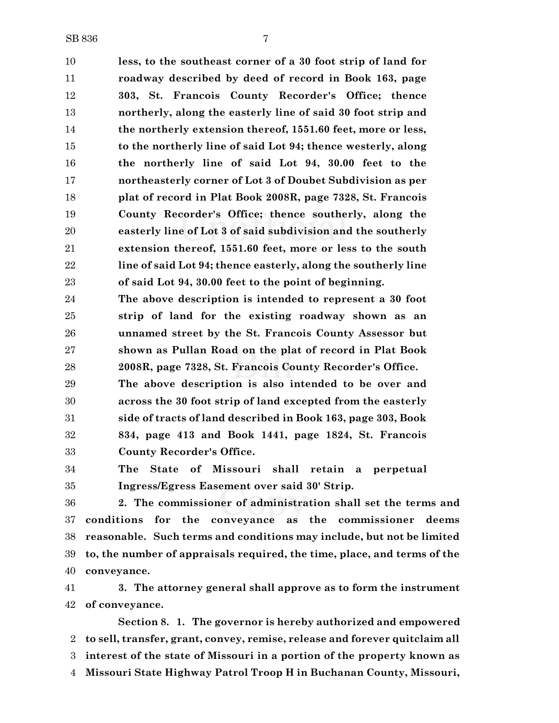**less, to the southeast corner of a 30 foot strip of land for roadway described by deed of record in Book 163, page 303, St. Francois County Recorder's Office; thence northerly, along the easterly line of said 30 foot strip and the northerly extension thereof, 1551.60 feet, more or less, to the northerly line of said Lot 94; thence westerly, along the northerly line of said Lot 94, 30.00 feet to the northeasterly corner of Lot 3 of Doubet Subdivision as per plat of record in Plat Book 2008R, page 7328, St. Francois County Recorder's Office; thence southerly, along the easterly line of Lot 3 of said subdivision and the southerly extension thereof, 1551.60 feet, more or less to the south line of said Lot 94; thence easterly, along the southerly line of said Lot 94, 30.00 feet to the point of beginning.**

 **The above description is intended to represent a 30 foot strip of land for the existing roadway shown as an unnamed street by the St. Francois County Assessor but shown as Pullan Road on the plat of record in Plat Book 2008R, page 7328, St. Francois County Recorder's Office.**

 **The above description is also intended to be over and across the 30 foot strip of land excepted from the easterly side of tracts of land described in Book 163, page 303, Book 834, page 413 and Book 1441, page 1824, St. Francois County Recorder's Office.**

 **The State of Missouri shall retain a perpetual Ingress/Egress Easement over said 30' Strip.**

 **2. The commissioner of administration shall set the terms and conditions for the conveyance as the commissioner deems reasonable. Such terms and conditions may include, but not be limited to, the number of appraisals required, the time, place, and terms of the conveyance.**

 **3. The attorney general shall approve as to form the instrument of conveyance.**

**Section 8. 1. The governor is hereby authorized and empowered to sell, transfer, grant, convey, remise, release and forever quitclaim all interest of the state of Missouri in a portion of the property known as Missouri State Highway Patrol Troop H in Buchanan County, Missouri,**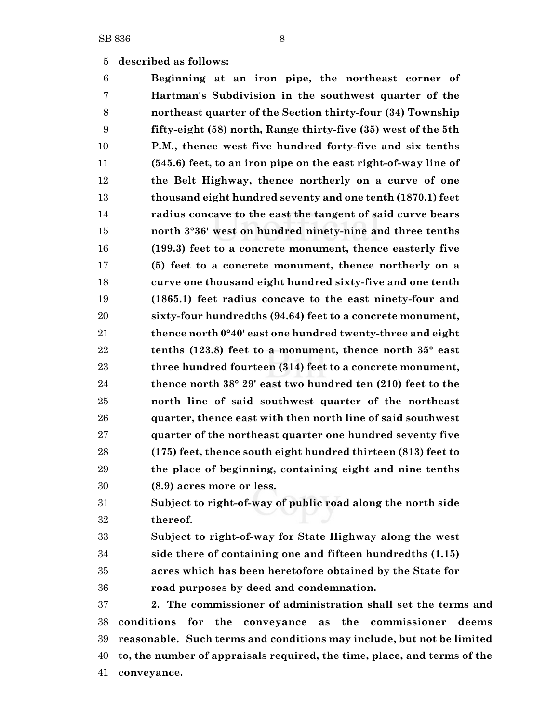### **described as follows:**

 **Beginning at an iron pipe, the northeast corner of Hartman's Subdivision in the southwest quarter of the northeast quarter of the Section thirty-four (34) Township fifty-eight (58) north, Range thirty-five (35) west of the 5th P.M., thence west five hundred forty-five and six tenths (545.6) feet, to an iron pipe on the east right-of-way line of the Belt Highway, thence northerly on a curve of one thousand eight hundred seventy and one tenth (1870.1) feet radius concave to the east the tangent of said curve bears north 3°36' west on hundred ninety-nine and three tenths (199.3) feet to a concrete monument, thence easterly five (5) feet to a concrete monument, thence northerly on a curve one thousand eight hundred sixty-five and one tenth (1865.1) feet radius concave to the east ninety-four and sixty-four hundredths (94.64) feet to a concrete monument, thence north 0°40' east one hundred twenty-three and eight tenths (123.8) feet to a monument, thence north 35° east three hundred fourteen (314) feet to a concrete monument, thence north 38° 29' east two hundred ten (210) feet to the north line of said southwest quarter of the northeast quarter, thence east with then north line of said southwest quarter of the northeast quarter one hundred seventy five (175) feet, thence south eight hundred thirteen (813) feet to the place of beginning, containing eight and nine tenths (8.9) acres more or less. Subject to right-of-way of public road along the north side**

**thereof.**

 **Subject to right-of-way for State Highway along the west side there of containing one and fifteen hundredths (1.15) acres which has been heretofore obtained by the State for road purposes by deed and condemnation.**

 **2. The commissioner of administration shall set the terms and conditions for the conveyance as the commissioner deems reasonable. Such terms and conditions may include, but not be limited to, the number of appraisals required, the time, place, and terms of the conveyance.**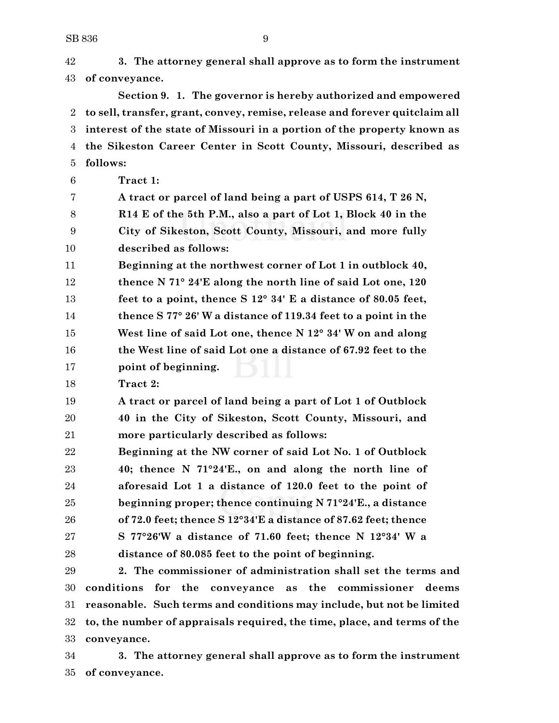**3. The attorney general shall approve as to form the instrument of conveyance. Section 9. 1. The governor is hereby authorized and empowered to sell, transfer, grant, convey, remise, release and forever quitclaim all interest of the state of Missouri in a portion of the property known as the Sikeston Career Center in Scott County, Missouri, described as follows: Tract 1: A tract or parcel of land being a part of USPS 614, T 26 N, R14 E of the 5th P.M., also a part of Lot 1, Block 40 in the City of Sikeston, Scott County, Missouri, and more fully described as follows: Beginning at the northwest corner of Lot 1 in outblock 40, thence N 71° 24'E along the north line of said Lot one, 120 feet to a point, thence S 12° 34' E a distance of 80.05 feet, thence S 77° 26' W a distance of 119.34 feet to a point in the West line of said Lot one, thence N 12° 34' W on and along the West line of said Lot one a distance of 67.92 feet to the point of beginning. Tract 2: A tract or parcel of land being a part of Lot 1 of Outblock 40 in the City of Sikeston, Scott County, Missouri, and more particularly described as follows: Beginning at the NW corner of said Lot No. 1 of Outblock 40; thence N 71°24'E., on and along the north line of aforesaid Lot 1 a distance of 120.0 feet to the point of beginning proper; thence continuing N 71°24'E., a distance of 72.0 feet; thence S 12°34'E a distance of 87.62 feet; thence S 77°26'W a distance of 71.60 feet; thence N 12°34' W a distance of 80.085 feet to the point of beginning. 2. The commissioner of administration shall set the terms and conditions for the conveyance as the commissioner deems**

 **reasonable. Such terms and conditions may include, but not be limited to, the number of appraisals required, the time, place, and terms of the conveyance.**

 **3. The attorney general shall approve as to form the instrument of conveyance.**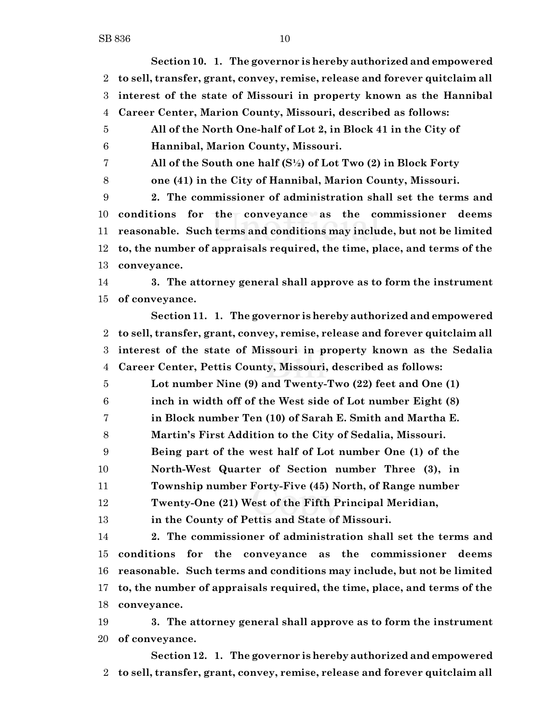**Section 10. 1. The governor is hereby authorized and empowered to sell, transfer, grant, convey, remise, release and forever quitclaim all interest of the state of Missouri in property known as the Hannibal Career Center, Marion County, Missouri, described as follows: All of the North One-half of Lot 2, in Block 41 in the City of Hannibal, Marion County, Missouri. All of the South one half (S½) of Lot Two (2) in Block Forty one (41) in the City of Hannibal, Marion County, Missouri. 2. The commissioner of administration shall set the terms and conditions for the conveyance as the commissioner deems reasonable. Such terms and conditions may include, but not be limited to, the number of appraisals required, the time, place, and terms of the conveyance. 3. The attorney general shall approve as to form the instrument of conveyance. Section 11. 1. The governor is hereby authorized and empowered to sell, transfer, grant, convey, remise, release and forever quitclaim all interest of the state of Missouri in property known as the Sedalia Career Center, Pettis County, Missouri, described as follows: Lot number Nine (9) and Twenty-Two (22) feet and One (1) inch in width off of the West side of Lot number Eight (8) in Block number Ten (10) of Sarah E. Smith and Martha E. Martin's First Addition to the City of Sedalia, Missouri. Being part of the west half of Lot number One (1) of the North-West Quarter of Section number Three (3), in Township number Forty-Five (45) North, of Range number Twenty-One (21) West of the Fifth Principal Meridian, in the County of Pettis and State of Missouri. 2. The commissioner of administration shall set the terms and conditions for the conveyance as the commissioner deems reasonable. Such terms and conditions may include, but not be limited to, the number of appraisals required, the time, place, and terms of the conveyance. 3. The attorney general shall approve as to form the instrument of conveyance. Section 12. 1. The governor is hereby authorized and empowered**

**to sell, transfer, grant, convey, remise, release and forever quitclaim all**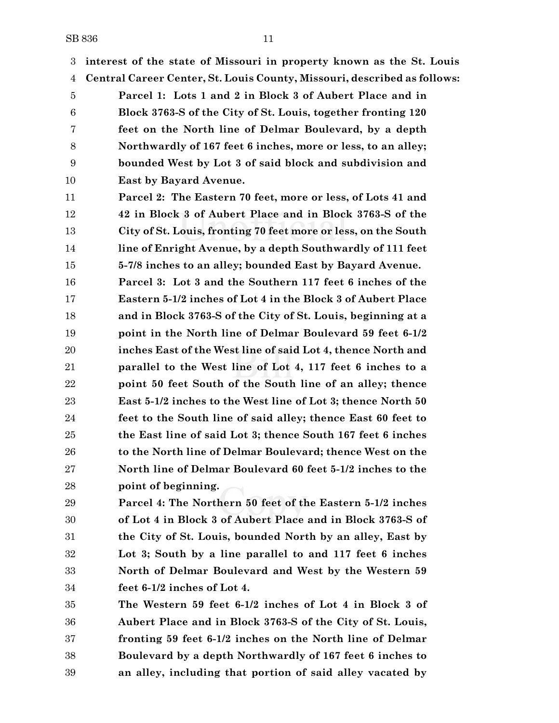**interest of the state of Missouri in property known as the St. Louis**

**Central Career Center, St. Louis County, Missouri, described as follows:**

 **Parcel 1: Lots 1 and 2 in Block 3 of Aubert Place and in Block 3763-S of the City of St. Louis, together fronting 120 feet on the North line of Delmar Boulevard, by a depth Northwardly of 167 feet 6 inches, more or less, to an alley; bounded West by Lot 3 of said block and subdivision and East by Bayard Avenue.**

 **Parcel 2: The Eastern 70 feet, more or less, of Lots 41 and 42 in Block 3 of Aubert Place and in Block 3763-S of the City of St. Louis, fronting 70 feet more or less, on the South line of Enright Avenue, by a depth Southwardly of 111 feet 5-7/8 inches to an alley; bounded East by Bayard Avenue.**

 **Parcel 3: Lot 3 and the Southern 117 feet 6 inches of the Eastern 5-1/2 inches of Lot 4 in the Block 3 of Aubert Place and in Block 3763-S of the City of St. Louis, beginning at a point in the North line of Delmar Boulevard 59 feet 6-1/2 inches East of the West line of said Lot 4, thence North and parallel to the West line of Lot 4, 117 feet 6 inches to a point 50 feet South of the South line of an alley; thence East 5-1/2 inches to the West line of Lot 3; thence North 50 feet to the South line of said alley; thence East 60 feet to the East line of said Lot 3; thence South 167 feet 6 inches to the North line of Delmar Boulevard; thence West on the North line of Delmar Boulevard 60 feet 5-1/2 inches to the point of beginning.**

 **Parcel 4: The Northern 50 feet of the Eastern 5-1/2 inches of Lot 4 in Block 3 of Aubert Place and in Block 3763-S of the City of St. Louis, bounded North by an alley, East by Lot 3; South by a line parallel to and 117 feet 6 inches North of Delmar Boulevard and West by the Western 59 feet 6-1/2 inches of Lot 4.**

 **The Western 59 feet 6-1/2 inches of Lot 4 in Block 3 of Aubert Place and in Block 3763-S of the City of St. Louis, fronting 59 feet 6-1/2 inches on the North line of Delmar Boulevard by a depth Northwardly of 167 feet 6 inches to an alley, including that portion of said alley vacated by**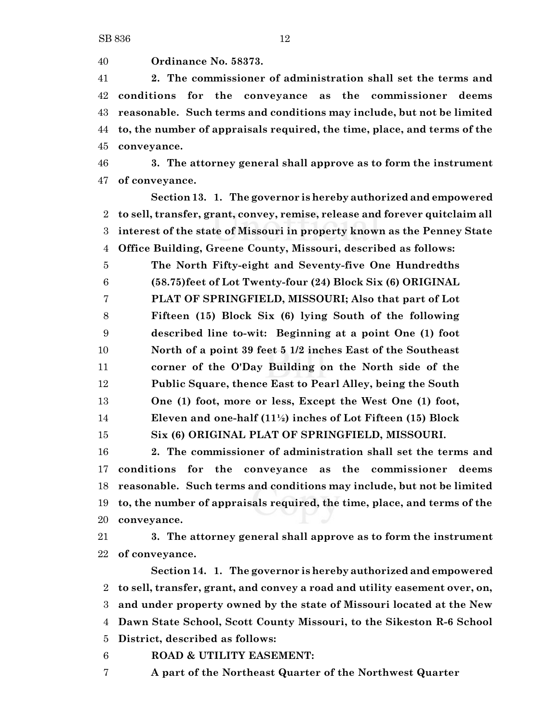**Ordinance No. 58373.**

 **2. The commissioner of administration shall set the terms and conditions for the conveyance as the commissioner deems reasonable. Such terms and conditions may include, but not be limited to, the number of appraisals required, the time, place, and terms of the conveyance.**

 **3. The attorney general shall approve as to form the instrument of conveyance.**

**Section 13. 1. The governor is hereby authorized and empowered to sell, transfer, grant, convey, remise, release and forever quitclaim all interest of the state of Missouri in property known as the Penney State Office Building, Greene County, Missouri, described as follows:**

 **The North Fifty-eight and Seventy-five One Hundredths (58.75)feet of Lot Twenty-four (24) Block Six (6) ORIGINAL PLAT OF SPRINGFIELD, MISSOURI; Also that part of Lot Fifteen (15) Block Six (6) lying South of the following described line to-wit: Beginning at a point One (1) foot North of a point 39 feet 5 1/2 inches East of the Southeast corner of the O'Day Building on the North side of the Public Square, thence East to Pearl Alley, being the South One (1) foot, more or less, Except the West One (1) foot, Eleven and one-half (11½) inches of Lot Fifteen (15) Block Six (6) ORIGINAL PLAT OF SPRINGFIELD, MISSOURI.**

 **2. The commissioner of administration shall set the terms and conditions for the conveyance as the commissioner deems reasonable. Such terms and conditions may include, but not be limited to, the number of appraisals required, the time, place, and terms of the conveyance.**

 **3. The attorney general shall approve as to form the instrument of conveyance.**

**Section 14. 1. The governor is hereby authorized and empowered to sell, transfer, grant, and convey a road and utility easement over, on, and under property owned by the state of Missouri located at the New Dawn State School, Scott County Missouri, to the Sikeston R-6 School District, described as follows:**

**ROAD & UTILITY EASEMENT:**

**A part of the Northeast Quarter of the Northwest Quarter**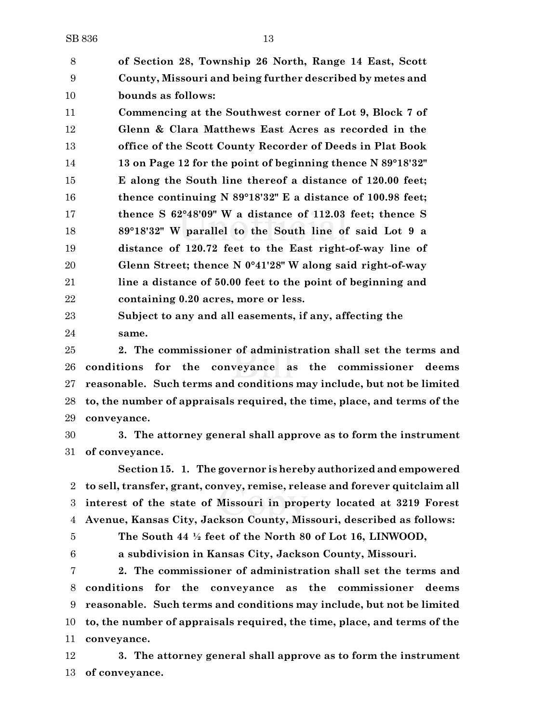**of Section 28, Township 26 North, Range 14 East, Scott County, Missouri and being further described by metes and bounds as follows:**

 **Commencing at the Southwest corner of Lot 9, Block 7 of Glenn & Clara Matthews East Acres as recorded in the office of the Scott County Recorder of Deeds in Plat Book 13 on Page 12 for the point of beginning thence N 89°18'32" E along the South line thereof a distance of 120.00 feet; thence continuing N 89°18'32" E a distance of 100.98 feet; thence S 62°48'09" W a distance of 112.03 feet; thence S 89°18'32" W parallel to the South line of said Lot 9 a distance of 120.72 feet to the East right-of-way line of Glenn Street; thence N 0°41'28" W along said right-of-way line a distance of 50.00 feet to the point of beginning and containing 0.20 acres, more or less.**

 **Subject to any and all easements, if any, affecting the same.**

 **2. The commissioner of administration shall set the terms and conditions for the conveyance as the commissioner deems reasonable. Such terms and conditions may include, but not be limited to, the number of appraisals required, the time, place, and terms of the conveyance.**

 **3. The attorney general shall approve as to form the instrument of conveyance.**

**Section 15. 1. The governor is hereby authorized and empowered to sell, transfer, grant, convey, remise, release and forever quitclaim all interest of the state of Missouri in property located at 3219 Forest Avenue, Kansas City, Jackson County, Missouri, described as follows:**

 **The South 44 ½ feet of the North 80 of Lot 16, LINWOOD, a subdivision in Kansas City, Jackson County, Missouri.**

 **2. The commissioner of administration shall set the terms and conditions for the conveyance as the commissioner deems reasonable. Such terms and conditions may include, but not be limited to, the number of appraisals required, the time, place, and terms of the conveyance.**

 **3. The attorney general shall approve as to form the instrument of conveyance.**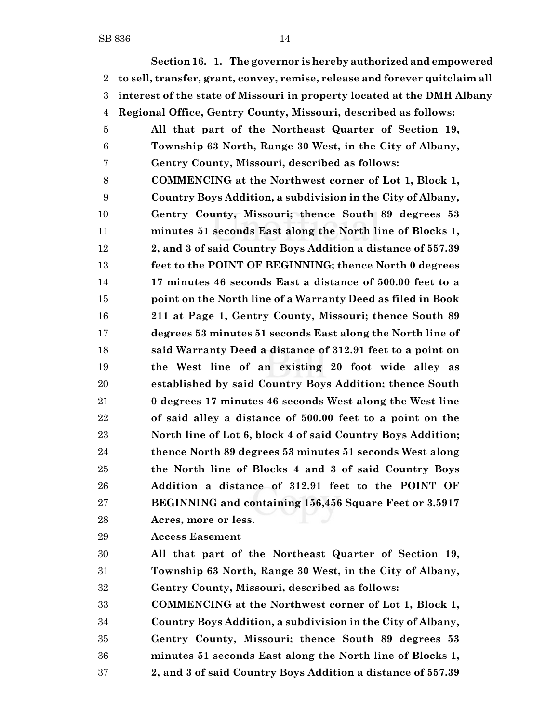**Section 16. 1. The governor is hereby authorized and empowered to sell, transfer, grant, convey, remise, release and forever quitclaim all interest of the state of Missouri in property located at the DMH Albany Regional Office, Gentry County, Missouri, described as follows: All that part of the Northeast Quarter of Section 19, Township 63 North, Range 30 West, in the City of Albany, Gentry County, Missouri, described as follows: COMMENCING at the Northwest corner of Lot 1, Block 1, Country Boys Addition, a subdivision in the City of Albany, Gentry County, Missouri; thence South 89 degrees 53 minutes 51 seconds East along the North line of Blocks 1, 2, and 3 of said Country Boys Addition a distance of 557.39 feet to the POINT OF BEGINNING; thence North 0 degrees 17 minutes 46 seconds East a distance of 500.00 feet to a point on the North line of a Warranty Deed as filed in Book 211 at Page 1, Gentry County, Missouri; thence South 89 degrees 53 minutes 51 seconds East along the North line of said Warranty Deed a distance of 312.91 feet to a point on the West line of an existing 20 foot wide alley as established by said Country Boys Addition; thence South 0 degrees 17 minutes 46 seconds West along the West line of said alley a distance of 500.00 feet to a point on the North line of Lot 6, block 4 of said Country Boys Addition; thence North 89 degrees 53 minutes 51 seconds West along the North line of Blocks 4 and 3 of said Country Boys Addition a distance of 312.91 feet to the POINT OF BEGINNING and containing 156,456 Square Feet or 3.5917**

- **Acres, more or less.**
- **Access Easement**

 **All that part of the Northeast Quarter of Section 19, Township 63 North, Range 30 West, in the City of Albany, Gentry County, Missouri, described as follows:**

 **COMMENCING at the Northwest corner of Lot 1, Block 1, Country Boys Addition, a subdivision in the City of Albany, Gentry County, Missouri; thence South 89 degrees 53 minutes 51 seconds East along the North line of Blocks 1, 2, and 3 of said Country Boys Addition a distance of 557.39**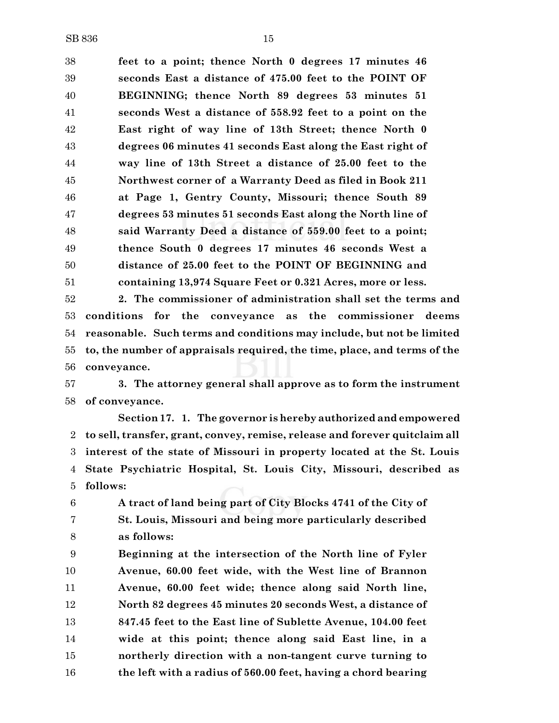**feet to a point; thence North 0 degrees 17 minutes 46 seconds East a distance of 475.00 feet to the POINT OF BEGINNING; thence North 89 degrees 53 minutes 51 seconds West a distance of 558.92 feet to a point on the East right of way line of 13th Street; thence North 0 degrees 06 minutes 41 seconds East along the East right of way line of 13th Street a distance of 25.00 feet to the Northwest corner of a Warranty Deed as filed in Book 211 at Page 1, Gentry County, Missouri; thence South 89 degrees 53 minutes 51 seconds East along the North line of said Warranty Deed a distance of 559.00 feet to a point; thence South 0 degrees 17 minutes 46 seconds West a distance of 25.00 feet to the POINT OF BEGINNING and containing 13,974 Square Feet or 0.321 Acres, more or less.**

 **2. The commissioner of administration shall set the terms and conditions for the conveyance as the commissioner deems reasonable. Such terms and conditions may include, but not be limited to, the number of appraisals required, the time, place, and terms of the conveyance.**

 **3. The attorney general shall approve as to form the instrument of conveyance.**

**Section 17. 1. The governor is hereby authorized and empowered to sell, transfer, grant, convey, remise, release and forever quitclaim all interest of the state of Missouri in property located at the St. Louis State Psychiatric Hospital, St. Louis City, Missouri, described as follows:**

 **A tract of land being part of City Blocks 4741 of the City of St. Louis, Missouri and being more particularly described as follows:**

 **Beginning at the intersection of the North line of Fyler Avenue, 60.00 feet wide, with the West line of Brannon Avenue, 60.00 feet wide; thence along said North line, North 82 degrees 45 minutes 20 seconds West, a distance of 847.45 feet to the East line of Sublette Avenue, 104.00 feet wide at this point; thence along said East line, in a northerly direction with a non-tangent curve turning to the left with a radius of 560.00 feet, having a chord bearing**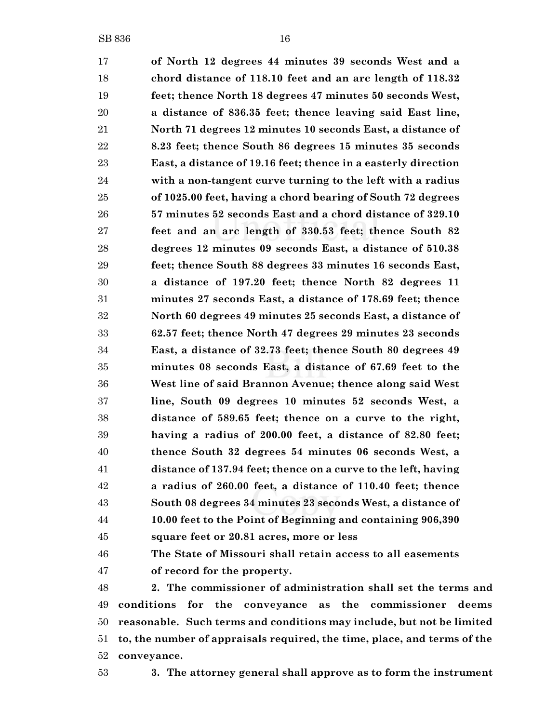**of North 12 degrees 44 minutes 39 seconds West and a chord distance of 118.10 feet and an arc length of 118.32 feet; thence North 18 degrees 47 minutes 50 seconds West, a distance of 836.35 feet; thence leaving said East line, North 71 degrees 12 minutes 10 seconds East, a distance of 8.23 feet; thence South 86 degrees 15 minutes 35 seconds East, a distance of 19.16 feet; thence in a easterly direction with a non-tangent curve turning to the left with a radius of 1025.00 feet, having a chord bearing of South 72 degrees 57 minutes 52 seconds East and a chord distance of 329.10 feet and an arc length of 330.53 feet; thence South 82 degrees 12 minutes 09 seconds East, a distance of 510.38 feet; thence South 88 degrees 33 minutes 16 seconds East, a distance of 197.20 feet; thence North 82 degrees 11 minutes 27 seconds East, a distance of 178.69 feet; thence North 60 degrees 49 minutes 25 seconds East, a distance of 62.57 feet; thence North 47 degrees 29 minutes 23 seconds East, a distance of 32.73 feet; thence South 80 degrees 49 minutes 08 seconds East, a distance of 67.69 feet to the West line of said Brannon Avenue; thence along said West line, South 09 degrees 10 minutes 52 seconds West, a distance of 589.65 feet; thence on a curve to the right, having a radius of 200.00 feet, a distance of 82.80 feet; thence South 32 degrees 54 minutes 06 seconds West, a distance of 137.94 feet; thence on a curve to the left, having a radius of 260.00 feet, a distance of 110.40 feet; thence South 08 degrees 34 minutes 23 seconds West, a distance of 10.00 feet to the Point of Beginning and containing 906,390 square feet or 20.81 acres, more or less The State of Missouri shall retain access to all easements**

**of record for the property.**

 **2. The commissioner of administration shall set the terms and conditions for the conveyance as the commissioner deems reasonable. Such terms and conditions may include, but not be limited to, the number of appraisals required, the time, place, and terms of the conveyance.**

**3. The attorney general shall approve as to form the instrument**